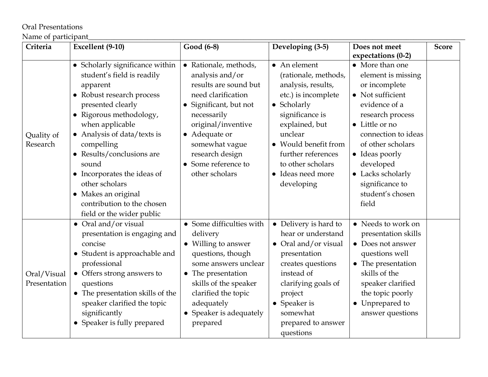## Oral Presentations

## Name of participant\_\_\_\_\_\_\_\_\_\_\_\_\_\_\_\_\_\_\_\_\_\_\_\_\_\_\_\_\_\_\_\_\_\_\_\_\_\_\_\_\_\_\_\_\_\_\_\_\_\_\_\_\_\_\_\_\_\_\_\_\_\_\_\_\_\_\_\_\_\_\_\_\_\_\_\_\_\_\_\_\_\_\_\_\_\_\_\_\_\_\_\_\_\_\_\_\_\_\_\_\_\_

| Criteria                    | Excellent (9-10)                                                                                                                                                                                                                                                                                                                                                                                | Good (6-8)                                                                                                                                                                                                                                                   | Developing (3-5)                                                                                                                                                                                                                                               | Does not meet                                                                                                                                                                                                                                                                     | <b>Score</b> |
|-----------------------------|-------------------------------------------------------------------------------------------------------------------------------------------------------------------------------------------------------------------------------------------------------------------------------------------------------------------------------------------------------------------------------------------------|--------------------------------------------------------------------------------------------------------------------------------------------------------------------------------------------------------------------------------------------------------------|----------------------------------------------------------------------------------------------------------------------------------------------------------------------------------------------------------------------------------------------------------------|-----------------------------------------------------------------------------------------------------------------------------------------------------------------------------------------------------------------------------------------------------------------------------------|--------------|
|                             |                                                                                                                                                                                                                                                                                                                                                                                                 |                                                                                                                                                                                                                                                              |                                                                                                                                                                                                                                                                | expectations (0-2)                                                                                                                                                                                                                                                                |              |
| Quality of<br>Research      | • Scholarly significance within<br>student's field is readily<br>apparent<br>• Robust research process<br>presented clearly<br>• Rigorous methodology,<br>when applicable<br>• Analysis of data/texts is<br>compelling<br>• Results/conclusions are<br>sound<br>• Incorporates the ideas of<br>other scholars<br>• Makes an original<br>contribution to the chosen<br>field or the wider public | Rationale, methods,<br>$\bullet$<br>analysis and/or<br>results are sound but<br>need clarification<br>Significant, but not<br>necessarily<br>original/inventive<br>• Adequate or<br>somewhat vague<br>research design<br>Some reference to<br>other scholars | $\bullet$ An element<br>(rationale, methods,<br>analysis, results,<br>etc.) is incomplete<br>• Scholarly<br>significance is<br>explained, but<br>unclear<br>• Would benefit from<br>further references<br>to other scholars<br>• Ideas need more<br>developing | • More than one<br>element is missing<br>or incomplete<br>• Not sufficient<br>evidence of a<br>research process<br>• Little or no<br>connection to ideas<br>of other scholars<br>• Ideas poorly<br>developed<br>• Lacks scholarly<br>significance to<br>student's chosen<br>field |              |
| Oral/Visual<br>Presentation | • Oral and/or visual<br>presentation is engaging and<br>concise<br>• Student is approachable and<br>professional<br>• Offers strong answers to<br>questions<br>• The presentation skills of the<br>speaker clarified the topic<br>significantly<br>• Speaker is fully prepared                                                                                                                  | • Some difficulties with<br>delivery<br>• Willing to answer<br>questions, though<br>some answers unclear<br>• The presentation<br>skills of the speaker<br>clarified the topic<br>adequately<br>• Speaker is adequately<br>prepared                          | • Delivery is hard to<br>hear or understand<br>• Oral and/or visual<br>presentation<br>creates questions<br>instead of<br>clarifying goals of<br>project<br>• Speaker is<br>somewhat<br>prepared to answer<br>questions                                        | • Needs to work on<br>presentation skills<br>• Does not answer<br>questions well<br>$\bullet$ The presentation<br>skills of the<br>speaker clarified<br>the topic poorly<br>Unprepared to<br>$\bullet$<br>answer questions                                                        |              |